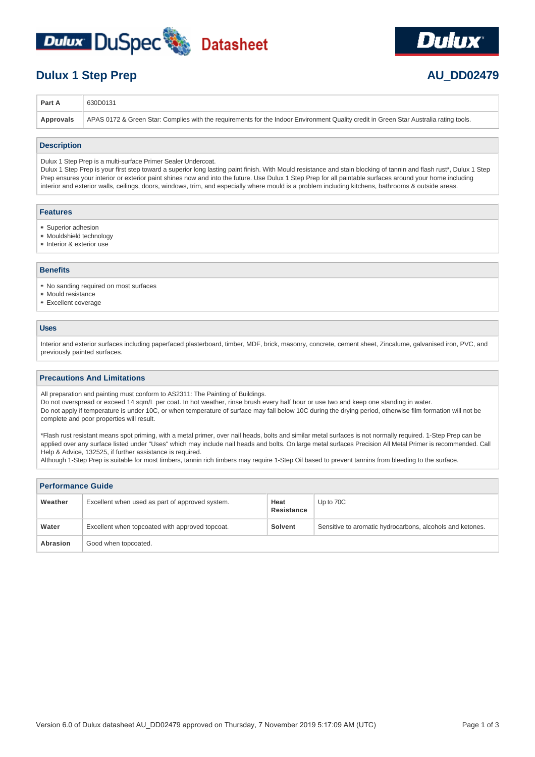



# **Dulux 1 Step Prep 2479**

| <b>Part A</b> | 630D0131                                                                                                                                           |
|---------------|----------------------------------------------------------------------------------------------------------------------------------------------------|
|               | Approvals   APAS 0172 & Green Star: Complies with the requirements for the Indoor Environment Quality credit in Green Star Australia rating tools. |

#### **Description**

Dulux 1 Step Prep is a multi-surface Primer Sealer Undercoat.

Dulux 1 Step Prep is your first step toward a superior long lasting paint finish. With Mould resistance and stain blocking of tannin and flash rust\*, Dulux 1 Step Prep ensures your interior or exterior paint shines now and into the future. Use Dulux 1 Step Prep for all paintable surfaces around your home including interior and exterior walls, ceilings, doors, windows, trim, and especially where mould is a problem including kitchens, bathrooms & outside areas.

## **Features**

- Superior adhesion
- Mouldshield technology
- Interior & exterior use

# **Benefits**

- No sanding required on most surfaces
- Mould resistance
- **Excellent coverage**

## **Uses**

Interior and exterior surfaces including paperfaced plasterboard, timber, MDF, brick, masonry, concrete, cement sheet, Zincalume, galvanised iron, PVC, and previously painted surfaces.

#### **Precautions And Limitations**

All preparation and painting must conform to AS2311: The Painting of Buildings.

Do not overspread or exceed 14 sqm/L per coat. In hot weather, rinse brush every half hour or use two and keep one standing in water.

Do not apply if temperature is under 10C, or when temperature of surface may fall below 10C during the drying period, otherwise film formation will not be complete and poor properties will result.

\*Flash rust resistant means spot priming, with a metal primer, over nail heads, bolts and similar metal surfaces is not normally required. 1-Step Prep can be applied over any surface listed under "Uses" which may include nail heads and bolts. On large metal surfaces Precision All Metal Primer is recommended. Call Help & Advice, 132525, if further assistance is required.

Although 1-Step Prep is suitable for most timbers, tannin rich timbers may require 1-Step Oil based to prevent tannins from bleeding to the surface.

| <b>Performance Guide</b> |                                                 |                    |                                                           |
|--------------------------|-------------------------------------------------|--------------------|-----------------------------------------------------------|
| Weather                  | Excellent when used as part of approved system. | Heat<br>Resistance | Up to 70C                                                 |
| Water                    | Excellent when topcoated with approved topcoat. | Solvent            | Sensitive to aromatic hydrocarbons, alcohols and ketones. |
| Abrasion                 | Good when topcoated.                            |                    |                                                           |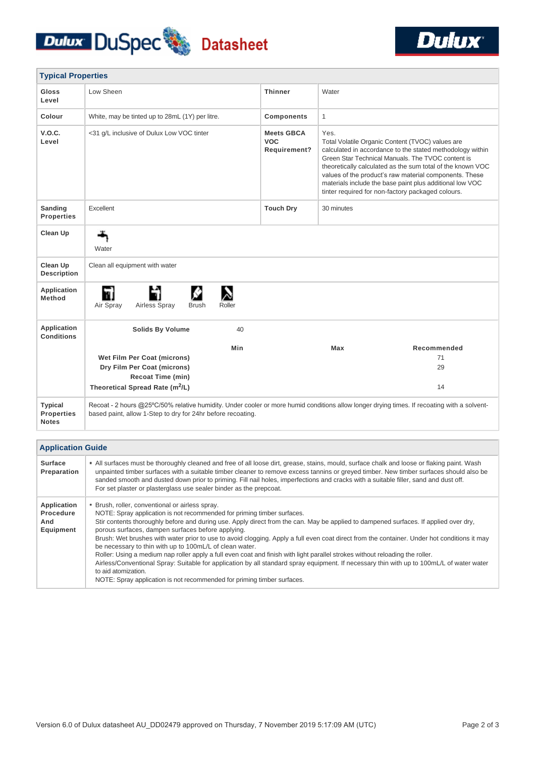



| <b>Typical Properties</b>                           |                                                                                                                                                                                                            |                                                 |                                                                                                                                                                                                                                                                                                                                                                                                                     |             |
|-----------------------------------------------------|------------------------------------------------------------------------------------------------------------------------------------------------------------------------------------------------------------|-------------------------------------------------|---------------------------------------------------------------------------------------------------------------------------------------------------------------------------------------------------------------------------------------------------------------------------------------------------------------------------------------------------------------------------------------------------------------------|-------------|
| <b>Gloss</b><br>Level                               | Low Sheen                                                                                                                                                                                                  | <b>Thinner</b>                                  | Water                                                                                                                                                                                                                                                                                                                                                                                                               |             |
| Colour                                              | White, may be tinted up to 28mL (1Y) per litre.                                                                                                                                                            | <b>Components</b>                               | $\mathbf{1}$                                                                                                                                                                                                                                                                                                                                                                                                        |             |
| V.O.C.<br>Level                                     | <31 g/L inclusive of Dulux Low VOC tinter                                                                                                                                                                  | <b>Meets GBCA</b><br><b>VOC</b><br>Requirement? | Yes.<br>Total Volatile Organic Content (TVOC) values are<br>calculated in accordance to the stated methodology within<br>Green Star Technical Manuals. The TVOC content is<br>theoretically calculated as the sum total of the known VOC<br>values of the product's raw material components. These<br>materials include the base paint plus additional low VOC<br>tinter required for non-factory packaged colours. |             |
| Sanding<br><b>Properties</b>                        | Excellent                                                                                                                                                                                                  | <b>Touch Dry</b>                                | 30 minutes                                                                                                                                                                                                                                                                                                                                                                                                          |             |
| <b>Clean Up</b>                                     | Water                                                                                                                                                                                                      |                                                 |                                                                                                                                                                                                                                                                                                                                                                                                                     |             |
| <b>Clean Up</b><br><b>Description</b>               | Clean all equipment with water                                                                                                                                                                             |                                                 |                                                                                                                                                                                                                                                                                                                                                                                                                     |             |
| <b>Application</b><br><b>Method</b>                 | "<br>n.<br>Air Spray<br>Airless Spray<br><b>Brush</b><br>Roller                                                                                                                                            |                                                 |                                                                                                                                                                                                                                                                                                                                                                                                                     |             |
| Application<br><b>Conditions</b>                    | <b>Solids By Volume</b><br>40                                                                                                                                                                              |                                                 |                                                                                                                                                                                                                                                                                                                                                                                                                     |             |
|                                                     | Min                                                                                                                                                                                                        |                                                 | Max                                                                                                                                                                                                                                                                                                                                                                                                                 | Recommended |
|                                                     | Wet Film Per Coat (microns)                                                                                                                                                                                |                                                 |                                                                                                                                                                                                                                                                                                                                                                                                                     | 71          |
|                                                     | Dry Film Per Coat (microns)                                                                                                                                                                                |                                                 |                                                                                                                                                                                                                                                                                                                                                                                                                     | 29          |
|                                                     | <b>Recoat Time (min)</b>                                                                                                                                                                                   |                                                 |                                                                                                                                                                                                                                                                                                                                                                                                                     |             |
|                                                     | Theoretical Spread Rate (m <sup>2</sup> /L)                                                                                                                                                                |                                                 |                                                                                                                                                                                                                                                                                                                                                                                                                     | 14          |
| <b>Typical</b><br><b>Properties</b><br><b>Notes</b> | Recoat - 2 hours @25°C/50% relative humidity. Under cooler or more humid conditions allow longer drying times. If recoating with a solvent-<br>based paint, allow 1-Step to dry for 24hr before recoating. |                                                 |                                                                                                                                                                                                                                                                                                                                                                                                                     |             |

| <b>Application Guide</b>                     |                                                                                                                                                                                                                                                                                                                                                                                                                                                                                                                                                                                                                                                                                                                                                                                                                                                                                                                   |  |  |
|----------------------------------------------|-------------------------------------------------------------------------------------------------------------------------------------------------------------------------------------------------------------------------------------------------------------------------------------------------------------------------------------------------------------------------------------------------------------------------------------------------------------------------------------------------------------------------------------------------------------------------------------------------------------------------------------------------------------------------------------------------------------------------------------------------------------------------------------------------------------------------------------------------------------------------------------------------------------------|--|--|
| <b>Surface</b><br>Preparation                | • All surfaces must be thoroughly cleaned and free of all loose dirt, grease, stains, mould, surface chalk and loose or flaking paint. Wash<br>unpainted timber surfaces with a suitable timber cleaner to remove excess tannins or greyed timber. New timber surfaces should also be<br>sanded smooth and dusted down prior to priming. Fill nail holes, imperfections and cracks with a suitable filler, sand and dust off.<br>For set plaster or plasterglass use sealer binder as the prepcoat.                                                                                                                                                                                                                                                                                                                                                                                                               |  |  |
| Application<br>Procedure<br>And<br>Equipment | • Brush, roller, conventional or airless spray.<br>NOTE: Spray application is not recommended for priming timber surfaces.<br>Stir contents thoroughly before and during use. Apply direct from the can. May be applied to dampened surfaces. If applied over dry,<br>porous surfaces, dampen surfaces before applying.<br>Brush: Wet brushes with water prior to use to avoid clogging. Apply a full even coat direct from the container. Under hot conditions it may<br>be necessary to thin with up to 100mL/L of clean water.<br>Roller: Using a medium nap roller apply a full even coat and finish with light parallel strokes without reloading the roller.<br>Airless/Conventional Spray: Suitable for application by all standard spray equipment. If necessary thin with up to 100mL/L of water water<br>to aid atomization.<br>NOTE: Spray application is not recommended for priming timber surfaces. |  |  |